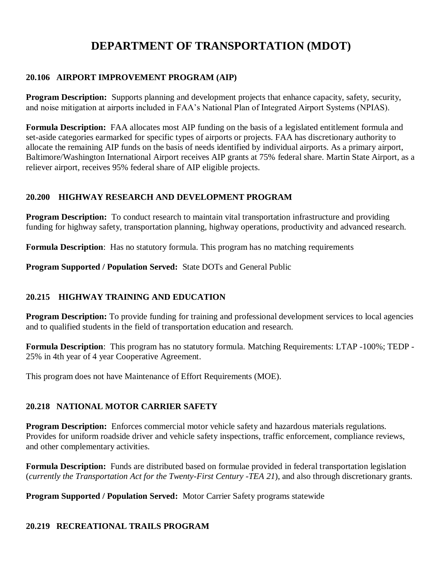# **DEPARTMENT OF TRANSPORTATION (MDOT)**

# **20.106 AIRPORT IMPROVEMENT PROGRAM (AIP)**

**Program Description:** Supports planning and development projects that enhance capacity, safety, security, and noise mitigation at airports included in FAA's National Plan of Integrated Airport Systems (NPIAS).

**Formula Description:** FAA allocates most AIP funding on the basis of a legislated entitlement formula and set-aside categories earmarked for specific types of airports or projects. FAA has discretionary authority to allocate the remaining AIP funds on the basis of needs identified by individual airports. As a primary airport, Baltimore/Washington International Airport receives AIP grants at 75% federal share. Martin State Airport, as a reliever airport, receives 95% federal share of AIP eligible projects.

# **20.200 HIGHWAY RESEARCH AND DEVELOPMENT PROGRAM**

**Program Description:** To conduct research to maintain vital transportation infrastructure and providing funding for highway safety, transportation planning, highway operations, productivity and advanced research.

**Formula Description**: Has no statutory formula. This program has no matching requirements

**Program Supported / Population Served:** State DOTs and General Public

#### **20.215 HIGHWAY TRAINING AND EDUCATION**

**Program Description:** To provide funding for training and professional development services to local agencies and to qualified students in the field of transportation education and research.

**Formula Description**: This program has no statutory formula. Matching Requirements: LTAP -100%; TEDP - 25% in 4th year of 4 year Cooperative Agreement.

This program does not have Maintenance of Effort Requirements (MOE).

#### **20.218 NATIONAL MOTOR CARRIER SAFETY**

**Program Description:** Enforces commercial motor vehicle safety and hazardous materials regulations. Provides for uniform roadside driver and vehicle safety inspections, traffic enforcement, compliance reviews, and other complementary activities.

**Formula Description:** Funds are distributed based on formulae provided in federal transportation legislation (*currently the Transportation Act for the Twenty-First Century -TEA 21*), and also through discretionary grants.

**Program Supported / Population Served:** Motor Carrier Safety programs statewide

#### **20.219 RECREATIONAL TRAILS PROGRAM**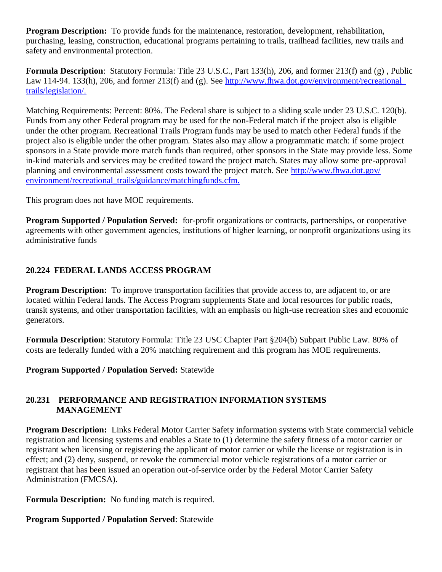**Program Description:** To provide funds for the maintenance, restoration, development, rehabilitation, purchasing, leasing, construction, educational programs pertaining to trails, trailhead facilities, new trails and safety and environmental protection.

**Formula Description**: Statutory Formula: Title 23 U.S.C., Part 133(h), 206, and former 213(f) and (g) , Public Law 114-94. 133(h), 206, and former 213(f) and (g). See http://www.fhwa.dot.gov/environment/recreational [trails/legislation/.](http://www.fhwa.dot.gov/environment/recreational_%20trails/legislation/)

Matching Requirements: Percent: 80%. The Federal share is subject to a sliding scale under 23 U.S.C. 120(b). Funds from any other Federal program may be used for the non-Federal match if the project also is eligible under the other program. Recreational Trails Program funds may be used to match other Federal funds if the project also is eligible under the other program. States also may allow a programmatic match: if some project sponsors in a State provide more match funds than required, other sponsors in the State may provide less. Some in-kind materials and services may be credited toward the project match. States may allow some pre-approval planning and environmental assessment costs toward the project match. See [http://www.fhwa.dot.gov/](http://www.fhwa.dot.gov/%20environment/recreational_trails/guidance/matchingfunds.cfm.)  [environment/recreational\\_trails/guidance/matchingfunds.cfm.](http://www.fhwa.dot.gov/%20environment/recreational_trails/guidance/matchingfunds.cfm.)

This program does not have MOE requirements.

**Program Supported / Population Served:** for-profit organizations or contracts, partnerships, or cooperative agreements with other government agencies, institutions of higher learning, or nonprofit organizations using its administrative funds

# **20.224 FEDERAL LANDS ACCESS PROGRAM**

**Program Description:** To improve transportation facilities that provide access to, are adjacent to, or are located within Federal lands. The Access Program supplements State and local resources for public roads, transit systems, and other transportation facilities, with an emphasis on high-use recreation sites and economic generators.

**Formula Description**: Statutory Formula: Title 23 USC Chapter Part §204(b) Subpart Public Law. 80% of costs are federally funded with a 20% matching requirement and this program has MOE requirements.

**Program Supported / Population Served:** Statewide

# **20.231 PERFORMANCE AND REGISTRATION INFORMATION SYSTEMS MANAGEMENT**

**Program Description:** Links Federal Motor Carrier Safety information systems with State commercial vehicle registration and licensing systems and enables a State to (1) determine the safety fitness of a motor carrier or registrant when licensing or registering the applicant of motor carrier or while the license or registration is in effect; and (2) deny, suspend, or revoke the commercial motor vehicle registrations of a motor carrier or registrant that has been issued an operation out-of-service order by the Federal Motor Carrier Safety Administration (FMCSA).

**Formula Description:** No funding match is required.

# **Program Supported / Population Served**: Statewide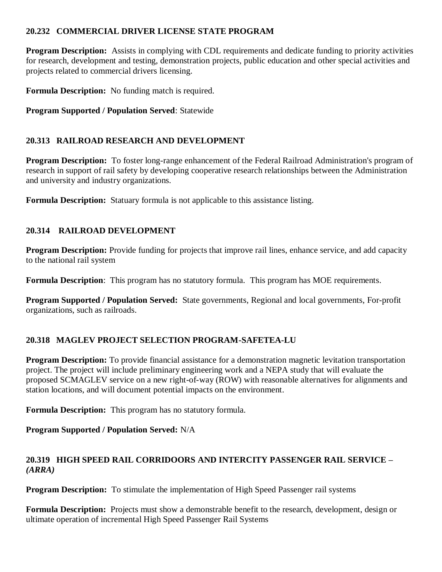# **20.232 COMMERCIAL DRIVER LICENSE STATE PROGRAM**

**Program Description:** Assists in complying with CDL requirements and dedicate funding to priority activities for research, development and testing, demonstration projects, public education and other special activities and projects related to commercial drivers licensing.

**Formula Description:** No funding match is required.

**Program Supported / Population Served**: Statewide

# **20.313 RAILROAD RESEARCH AND DEVELOPMENT**

**Program Description:** To foster long-range enhancement of the Federal Railroad Administration's program of research in support of rail safety by developing cooperative research relationships between the Administration and university and industry organizations.

**Formula Description:** Statuary formula is not applicable to this assistance listing.

# **20.314 RAILROAD DEVELOPMENT**

**Program Description:** Provide funding for projects that improve rail lines, enhance service, and add capacity to the national rail system

**Formula Description**: This program has no statutory formula. This program has MOE requirements.

**Program Supported / Population Served:** State governments, Regional and local governments, For-profit organizations, such as railroads.

# **20.318 MAGLEV PROJECT SELECTION PROGRAM-SAFETEA-LU**

**Program Description:** To provide financial assistance for a demonstration magnetic levitation transportation project. The project will include preliminary engineering work and a NEPA study that will evaluate the proposed SCMAGLEV service on a new right-of-way (ROW) with reasonable alternatives for alignments and station locations, and will document potential impacts on the environment.

**Formula Description:** This program has no statutory formula.

**Program Supported / Population Served:** N/A

# **20.319 HIGH SPEED RAIL CORRIDOORS AND INTERCITY PASSENGER RAIL SERVICE –** *(ARRA)*

**Program Description:** To stimulate the implementation of High Speed Passenger rail systems

**Formula Description:** Projects must show a demonstrable benefit to the research, development, design or ultimate operation of incremental High Speed Passenger Rail Systems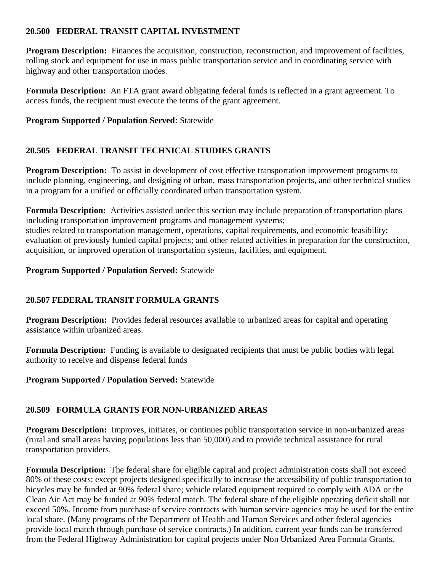# **20.500 FEDERAL TRANSIT CAPITAL INVESTMENT**

**Program Description:** Finances the acquisition, construction, reconstruction, and improvement of facilities, rolling stock and equipment for use in mass public transportation service and in coordinating service with highway and other transportation modes.

**Formula Description:** An FTA grant award obligating federal funds is reflected in a grant agreement. To access funds, the recipient must execute the terms of the grant agreement.

**Program Supported / Population Served**: Statewide

# **20.505 FEDERAL TRANSIT TECHNICAL STUDIES GRANTS**

**Program Description:** To assist in development of cost effective transportation improvement programs to include planning, engineering, and designing of urban, mass transportation projects, and other technical studies in a program for a unified or officially coordinated urban transportation system.

**Formula Description:** Activities assisted under this section may include preparation of transportation plans including transportation improvement programs and management systems; studies related to transportation management, operations, capital requirements, and economic feasibility; evaluation of previously funded capital projects; and other related activities in preparation for the construction, acquisition, or improved operation of transportation systems, facilities, and equipment.

#### **Program Supported / Population Served:** Statewide

# **20.507 FEDERAL TRANSIT FORMULA GRANTS**

**Program Description:** Provides federal resources available to urbanized areas for capital and operating assistance within urbanized areas.

**Formula Description:** Funding is available to designated recipients that must be public bodies with legal authority to receive and dispense federal funds

**Program Supported / Population Served:** Statewide

#### **20.509 FORMULA GRANTS FOR NON-URBANIZED AREAS**

**Program Description:** Improves, initiates, or continues public transportation service in non-urbanized areas (rural and small areas having populations less than 50,000) and to provide technical assistance for rural transportation providers.

**Formula Description:** The federal share for eligible capital and project administration costs shall not exceed 80% of these costs; except projects designed specifically to increase the accessibility of public transportation to bicycles may be funded at 90% federal share; vehicle related equipment required to comply with ADA or the Clean Air Act may be funded at 90% federal match. The federal share of the eligible operating deficit shall not exceed 50%. Income from purchase of service contracts with human service agencies may be used for the entire local share. (Many programs of the Department of Health and Human Services and other federal agencies provide local match through purchase of service contracts.) In addition, current year funds can be transferred from the Federal Highway Administration for capital projects under Non Urbanized Area Formula Grants.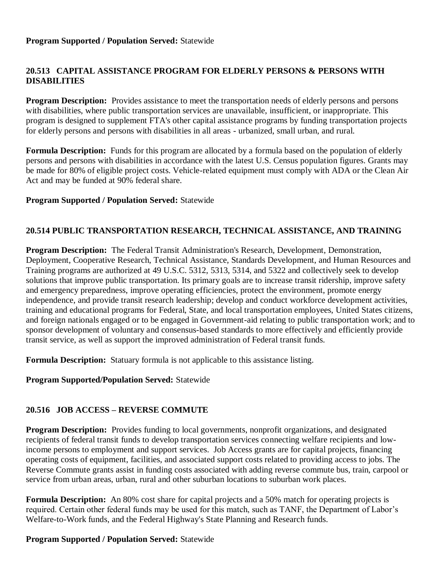# **20.513 CAPITAL ASSISTANCE PROGRAM FOR ELDERLY PERSONS & PERSONS WITH DISABILITIES**

**Program Description:** Provides assistance to meet the transportation needs of elderly persons and persons with disabilities, where public transportation services are unavailable, insufficient, or inappropriate. This program is designed to supplement FTA's other capital assistance programs by funding transportation projects for elderly persons and persons with disabilities in all areas - urbanized, small urban, and rural.

**Formula Description:** Funds for this program are allocated by a formula based on the population of elderly persons and persons with disabilities in accordance with the latest U.S. Census population figures. Grants may be made for 80% of eligible project costs. Vehicle-related equipment must comply with ADA or the Clean Air Act and may be funded at 90% federal share.

#### **Program Supported / Population Served:** Statewide

# **20.514 PUBLIC TRANSPORTATION RESEARCH, TECHNICAL ASSISTANCE, AND TRAINING**

**Program Description:** The Federal Transit Administration's Research, Development, Demonstration, Deployment, Cooperative Research, Technical Assistance, Standards Development, and Human Resources and Training programs are authorized at 49 U.S.C. 5312, 5313, 5314, and 5322 and collectively seek to develop solutions that improve public transportation. Its primary goals are to increase transit ridership, improve safety and emergency preparedness, improve operating efficiencies, protect the environment, promote energy independence, and provide transit research leadership; develop and conduct workforce development activities, training and educational programs for Federal, State, and local transportation employees, United States citizens, and foreign nationals engaged or to be engaged in Government-aid relating to public transportation work; and to sponsor development of voluntary and consensus-based standards to more effectively and efficiently provide transit service, as well as support the improved administration of Federal transit funds.

**Formula Description:** Statuary formula is not applicable to this assistance listing.

**Program Supported/Population Served:** Statewide

#### **20.516 JOB ACCESS – REVERSE COMMUTE**

**Program Description:** Provides funding to local governments, nonprofit organizations, and designated recipients of federal transit funds to develop transportation services connecting welfare recipients and lowincome persons to employment and support services. Job Access grants are for capital projects, financing operating costs of equipment, facilities, and associated support costs related to providing access to jobs. The Reverse Commute grants assist in funding costs associated with adding reverse commute bus, train, carpool or service from urban areas, urban, rural and other suburban locations to suburban work places.

**Formula Description:** An 80% cost share for capital projects and a 50% match for operating projects is required. Certain other federal funds may be used for this match, such as TANF, the Department of Labor's Welfare-to-Work funds, and the Federal Highway's State Planning and Research funds.

#### **Program Supported / Population Served:** Statewide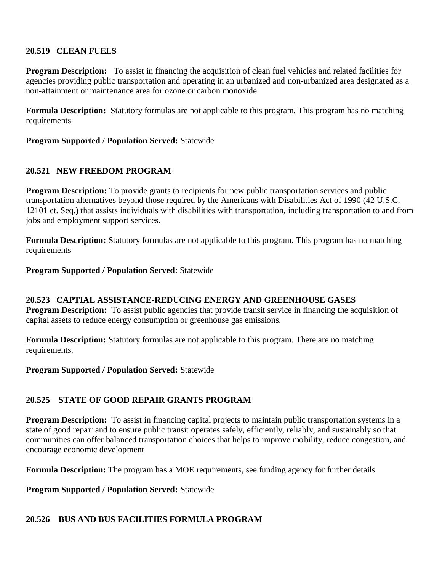#### **20.519 CLEAN FUELS**

**Program Description:** To assist in financing the acquisition of clean fuel vehicles and related facilities for agencies providing public transportation and operating in an urbanized and non-urbanized area designated as a non-attainment or maintenance area for ozone or carbon monoxide.

**Formula Description:** Statutory formulas are not applicable to this program. This program has no matching requirements

**Program Supported / Population Served:** Statewide

#### **20.521 NEW FREEDOM PROGRAM**

**Program Description:** To provide grants to recipients for new public transportation services and public transportation alternatives beyond those required by the Americans with Disabilities Act of 1990 (42 U.S.C. 12101 et. Seq.) that assists individuals with disabilities with transportation, including transportation to and from jobs and employment support services.

**Formula Description:** Statutory formulas are not applicable to this program. This program has no matching requirements

**Program Supported / Population Served**: Statewide

# **20.523 CAPTIAL ASSISTANCE-REDUCING ENERGY AND GREENHOUSE GASES**

**Program Description:** To assist public agencies that provide transit service in financing the acquisition of capital assets to reduce energy consumption or greenhouse gas emissions.

**Formula Description:** Statutory formulas are not applicable to this program. There are no matching requirements.

**Program Supported / Population Served:** Statewide

# **20.525 STATE OF GOOD REPAIR GRANTS PROGRAM**

**Program Description:** To assist in financing capital projects to maintain public transportation systems in a state of good repair and to ensure public transit operates safely, efficiently, reliably, and sustainably so that communities can offer balanced transportation choices that helps to improve mobility, reduce congestion, and encourage economic development

**Formula Description:** The program has a MOE requirements, see funding agency for further details

**Program Supported / Population Served:** Statewide

#### **20.526 BUS AND BUS FACILITIES FORMULA PROGRAM**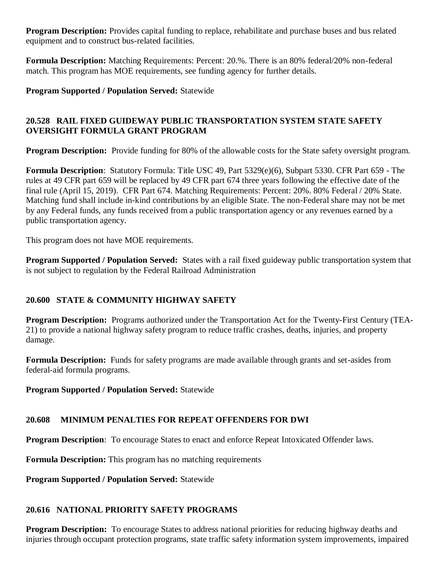**Program Description:** Provides capital funding to replace, rehabilitate and purchase buses and bus related equipment and to construct bus-related facilities.

**Formula Description:** Matching Requirements: Percent: 20.%. There is an 80% federal/20% non-federal match. This program has MOE requirements, see funding agency for further details.

**Program Supported / Population Served:** Statewide

# **20.528 RAIL FIXED GUIDEWAY PUBLIC TRANSPORTATION SYSTEM STATE SAFETY OVERSIGHT FORMULA GRANT PROGRAM**

**Program Description:** Provide funding for 80% of the allowable costs for the State safety oversight program.

**Formula Description**: Statutory Formula: Title USC 49, Part 5329(e)(6), Subpart 5330. CFR Part 659 - The rules at 49 CFR part 659 will be replaced by 49 CFR part 674 three years following the effective date of the final rule (April 15, 2019). CFR Part 674. Matching Requirements: Percent: 20%. 80% Federal / 20% State. Matching fund shall include in-kind contributions by an eligible State. The non-Federal share may not be met by any Federal funds, any funds received from a public transportation agency or any revenues earned by a public transportation agency.

This program does not have MOE requirements.

**Program Supported / Population Served:** States with a rail fixed guideway public transportation system that is not subject to regulation by the Federal Railroad Administration

# **20.600 STATE & COMMUNITY HIGHWAY SAFETY**

**Program Description:** Programs authorized under the Transportation Act for the Twenty-First Century (TEA-21) to provide a national highway safety program to reduce traffic crashes, deaths, injuries, and property damage.

**Formula Description:** Funds for safety programs are made available through grants and set-asides from federal-aid formula programs.

**Program Supported / Population Served:** Statewide

# **20.608 MINIMUM PENALTIES FOR REPEAT OFFENDERS FOR DWI**

**Program Description**: To encourage States to enact and enforce Repeat Intoxicated Offender laws.

**Formula Description:** This program has no matching requirements

**Program Supported / Population Served:** Statewide

# **20.616 NATIONAL PRIORITY SAFETY PROGRAMS**

**Program Description:** To encourage States to address national priorities for reducing highway deaths and injuries through occupant protection programs, state traffic safety information system improvements, impaired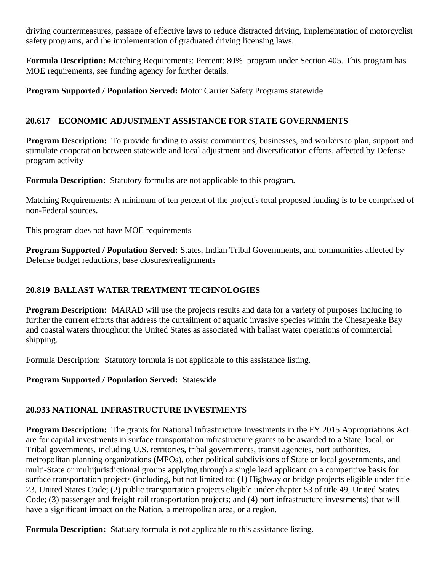driving countermeasures, passage of effective laws to reduce distracted driving, implementation of motorcyclist safety programs, and the implementation of graduated driving licensing laws.

**Formula Description:** Matching Requirements: Percent: 80% program under Section 405. This program has MOE requirements, see funding agency for further details.

**Program Supported / Population Served:** Motor Carrier Safety Programs statewide

# **20.617 ECONOMIC ADJUSTMENT ASSISTANCE FOR STATE GOVERNMENTS**

**Program Description:** To provide funding to assist communities, businesses, and workers to plan, support and stimulate cooperation between statewide and local adjustment and diversification efforts, affected by Defense program activity

**Formula Description**: Statutory formulas are not applicable to this program.

Matching Requirements: A minimum of ten percent of the project's total proposed funding is to be comprised of non-Federal sources.

This program does not have MOE requirements

**Program Supported / Population Served:** States, Indian Tribal Governments, and communities affected by Defense budget reductions, base closures/realignments

# **20.819 BALLAST WATER TREATMENT TECHNOLOGIES**

**Program Description:** MARAD will use the projects results and data for a variety of purposes including to further the current efforts that address the curtailment of aquatic invasive species within the Chesapeake Bay and coastal waters throughout the United States as associated with ballast water operations of commercial shipping.

Formula Description: Statutory formula is not applicable to this assistance listing.

**Program Supported / Population Served:** Statewide

# **20.933 NATIONAL INFRASTRUCTURE INVESTMENTS**

**Program Description:** The grants for National Infrastructure Investments in the FY 2015 Appropriations Act are for capital investments in surface transportation infrastructure grants to be awarded to a State, local, or Tribal governments, including U.S. territories, tribal governments, transit agencies, port authorities, metropolitan planning organizations (MPOs), other political subdivisions of State or local governments, and multi-State or multijurisdictional groups applying through a single lead applicant on a competitive basis for surface transportation projects (including, but not limited to: (1) Highway or bridge projects eligible under title 23, United States Code; (2) public transportation projects eligible under chapter 53 of title 49, United States Code; (3) passenger and freight rail transportation projects; and (4) port infrastructure investments) that will have a significant impact on the Nation, a metropolitan area, or a region.

**Formula Description:** Statuary formula is not applicable to this assistance listing.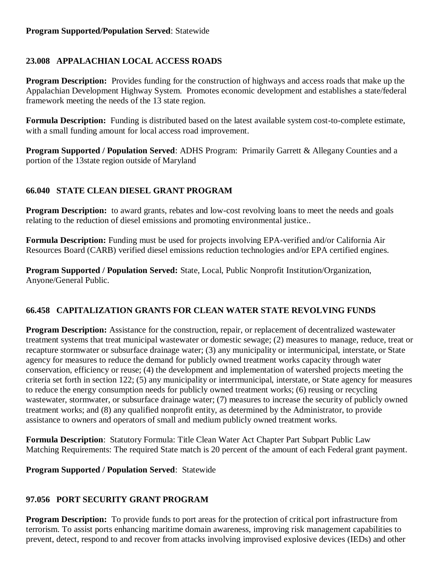# **23.008 APPALACHIAN LOCAL ACCESS ROADS**

**Program Description:** Provides funding for the construction of highways and access roads that make up the Appalachian Development Highway System. Promotes economic development and establishes a state/federal framework meeting the needs of the 13 state region.

**Formula Description:** Funding is distributed based on the latest available system cost-to-complete estimate, with a small funding amount for local access road improvement.

**Program Supported / Population Served**: ADHS Program: Primarily Garrett & Allegany Counties and a portion of the 13state region outside of Maryland

# **66.040 STATE CLEAN DIESEL GRANT PROGRAM**

**Program Description:** to award grants, rebates and low-cost revolving loans to meet the needs and goals relating to the reduction of diesel emissions and promoting environmental justice..

**Formula Description:** Funding must be used for projects involving EPA-verified and/or California Air Resources Board (CARB) verified diesel emissions reduction technologies and/or EPA certified engines.

**Program Supported / Population Served:** State, Local, Public Nonprofit Institution/Organization, Anyone/General Public.

# **66.458 CAPITALIZATION GRANTS FOR CLEAN WATER STATE REVOLVING FUNDS**

**Program Description:** Assistance for the construction, repair, or replacement of decentralized wastewater treatment systems that treat municipal wastewater or domestic sewage; (2) measures to manage, reduce, treat or recapture stormwater or subsurface drainage water; (3) any municipality or intermunicipal, interstate, or State agency for measures to reduce the demand for publicly owned treatment works capacity through water conservation, efficiency or reuse; (4) the development and implementation of watershed projects meeting the criteria set forth in section 122; (5) any municipality or interrmunicipal, interstate, or State agency for measures to reduce the energy consumption needs for publicly owned treatment works; (6) reusing or recycling wastewater, stormwater, or subsurface drainage water; (7) measures to increase the security of publicly owned treatment works; and (8) any qualified nonprofit entity, as determined by the Administrator, to provide assistance to owners and operators of small and medium publicly owned treatment works.

**Formula Description**: Statutory Formula: Title Clean Water Act Chapter Part Subpart Public Law Matching Requirements: The required State match is 20 percent of the amount of each Federal grant payment.

**Program Supported / Population Served**: Statewide

#### **97.056 PORT SECURITY GRANT PROGRAM**

**Program Description:** To provide funds to port areas for the protection of critical port infrastructure from terrorism. To assist ports enhancing maritime domain awareness, improving risk management capabilities to prevent, detect, respond to and recover from attacks involving improvised explosive devices (IEDs) and other